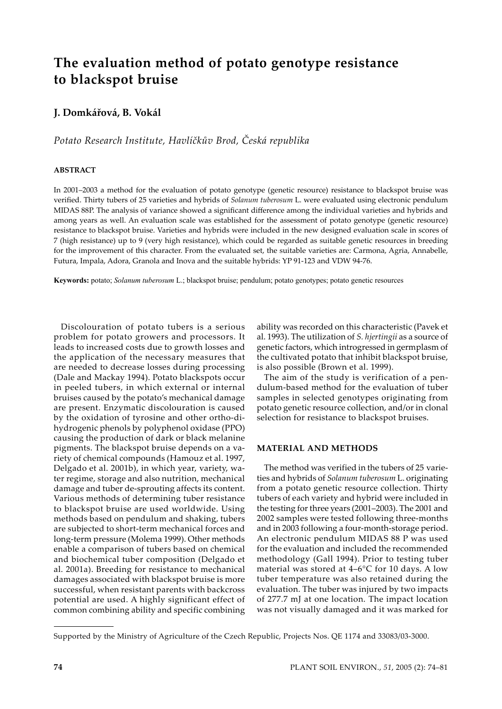# **The evaluation method of potato genotype resistance to blackspot bruise**

# **J. Domkářová, B. Vokál**

# *Potato Research Institute, Havlíčkův Brod, Česká republika*

### **ABSTRACT**

In 2001–2003 a method for the evaluation of potato genotype (genetic resource) resistance to blackspot bruise was verified. Thirty tubers of 25 varieties and hybrids of *Solanum tuberosum* L. were evaluated using electronic pendulum MIDAS 88P. The analysis of variance showed a significant difference among the individual varieties and hybrids and among years as well. An evaluation scale was established for the assessment of potato genotype (genetic resource) resistance to blackspot bruise. Varieties and hybrids were included in the new designed evaluation scale in scores of 7 (high resistance) up to 9 (very high resistance), which could be regarded as suitable genetic resources in breeding for the improvement of this character. From the evaluated set, the suitable varieties are: Carmona, Agria, Annabelle, Futura, Impala, Adora, Granola and Inova and the suitable hybrids: YP 91-123 and VDW 94-76.

**Keywords:** potato; *Solanum tuberosum* L.; blackspot bruise; pendulum; potato genotypes; potato genetic resources

Discolouration of potato tubers is a serious problem for potato growers and processors. It leads to increased costs due to growth losses and the application of the necessary measures that are needed to decrease losses during processing (Dale and Mackay 1994). Potato blackspots occur in peeled tubers, in which external or internal bruises caused by the potato's mechanical damage are present. Enzymatic discolouration is caused by the oxidation of tyrosine and other ortho-dihydrogenic phenols by polyphenol oxidase (PPO) causing the production of dark or black melanine pigments. The blackspot bruise depends on a variety of chemical compounds (Hamouz et al. 1997, Delgado et al. 2001b), in which year, variety, water regime, storage and also nutrition, mechanical damage and tuber de-sprouting affects its content. Various methods of determining tuber resistance to blackspot bruise are used worldwide. Using methods based on pendulum and shaking, tubers are subjected to short-term mechanical forces and long-term pressure (Molema 1999). Other methods enable a comparison of tubers based on chemical and biochemical tuber composition (Delgado et al. 2001a). Breeding for resistance to mechanical damages associated with blackspot bruise is more successful, when resistant parents with backcross potential are used. A highly significant effect of common combining ability and specific combining

ability was recorded on this characteristic (Pavek et al. 1993). The utilization of *S. hjertingii* as a source of genetic factors, which introgressed in germplasm of the cultivated potato that inhibit blackspot bruise, is also possible (Brown et al. 1999).

The aim of the study is verification of a pendulum-based method for the evaluation of tuber samples in selected genotypes originating from potato genetic resource collection, and/or in clonal selection for resistance to blackspot bruises.

## **MATERIAL AND METHODS**

The method was verified in the tubers of 25 varieties and hybrids of *Solanum tuberosum* L. originating from a potato genetic resource collection. Thirty tubers of each variety and hybrid were included in the testing for three years (2001–2003). The 2001 and 2002 samples were tested following three-months and in 2003 following a four-month-storage period. An electronic pendulum MIDAS 88 P was used for the evaluation and included the recommended methodology (Gall 1994). Prior to testing tuber material was stored at 4–6°C for 10 days. A low tuber temperature was also retained during the evaluation. The tuber was injured by two impacts of 277.7 mJ at one location. The impact location was not visually damaged and it was marked for

Supported by the Ministry of Agriculture of the Czech Republic, Projects Nos. QE 1174 and 33083/03-3000.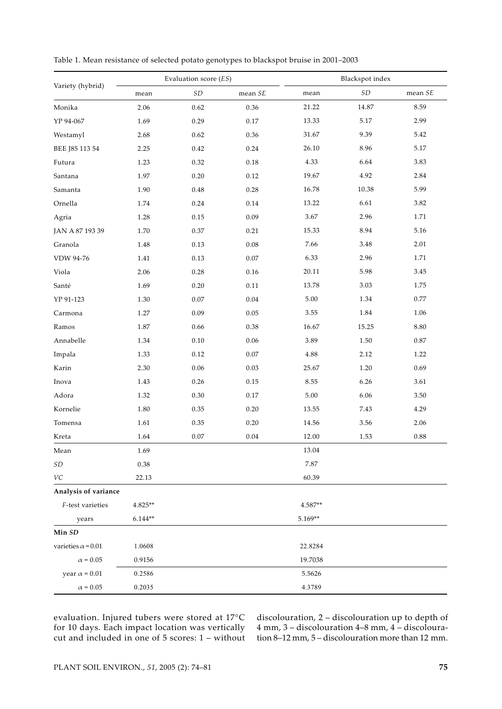|                            |           | Evaluation score (ES)         |                          | Blackspot index |               |          |  |  |
|----------------------------|-----------|-------------------------------|--------------------------|-----------------|---------------|----------|--|--|
| Variety (hybrid)           | mean      | $\ensuremath{\mathfrak{S}} D$ | mean $S\hspace{-1.5pt}E$ | mean            | $\mathit{SD}$ | mean SE  |  |  |
| Monika                     | 2.06      | 0.62                          | 0.36                     | 21.22           | 14.87         | 8.59     |  |  |
| YP 94-067                  | 1.69      | 0.29                          | $0.17\,$                 | 13.33           | $5.17\,$      | 2.99     |  |  |
| Westamyl                   | 2.68      | 0.62                          | 0.36                     | 31.67           | 9.39          | 5.42     |  |  |
| BEE J85 113 54             | 2.25      | 0.42                          | 0.24                     | 26.10           | 8.96          | 5.17     |  |  |
| Futura                     | 1.23      | 0.32                          | $0.18\,$                 | 4.33            | 6.64          | 3.83     |  |  |
| Santana                    | 1.97      | 0.20                          | 0.12                     | 19.67           | 4.92          | 2.84     |  |  |
| Samanta                    | 1.90      | 0.48                          | 0.28                     | 16.78           | 10.38         | 5.99     |  |  |
| Ornella                    | 1.74      | 0.24                          | 0.14                     | 13.22           | 6.61          | 3.82     |  |  |
| Agria                      | 1.28      | 0.15                          | 0.09                     | 3.67            | 2.96          | 1.71     |  |  |
| JAN A 87 193 39            | $1.70\,$  | 0.37                          | 0.21                     | 15.33           | 8.94          | 5.16     |  |  |
| Granola                    | 1.48      | 0.13                          | $0.08\,$                 | 7.66            | 3.48          | 2.01     |  |  |
| VDW 94-76                  | $1.41\,$  | 0.13                          | $0.07\,$                 | 6.33            | 2.96          | $1.71\,$ |  |  |
| Viola                      | 2.06      | 0.28                          | $0.16\,$                 | 20.11           | 5.98          | 3.45     |  |  |
| Santé                      | 1.69      | 0.20                          | 0.11                     | 13.78           | 3.03          | $1.75\,$ |  |  |
| YP 91-123                  | 1.30      | $0.07\,$                      | $0.04\,$                 | 5.00            | 1.34          | $0.77\,$ |  |  |
| Carmona                    | 1.27      | 0.09                          | $0.05\,$                 | 3.55            | 1.84          | 1.06     |  |  |
| Ramos                      | $1.87\,$  | 0.66                          | 0.38                     | 16.67           | 15.25         | 8.80     |  |  |
| Annabelle                  | 1.34      | 0.10                          | 0.06                     | 3.89            | 1.50          | $0.87\,$ |  |  |
| Impala                     | 1.33      | 0.12                          | $0.07\,$                 | $4.88\,$        | 2.12          | 1.22     |  |  |
| Karin                      | 2.30      | 0.06                          | 0.03                     | 25.67           | $1.20\,$      | 0.69     |  |  |
| Inova                      | 1.43      | 0.26                          | $0.15\,$                 | 8.55            | 6.26          | 3.61     |  |  |
| Adora                      | 1.32      | 0.30                          | $0.17\,$                 | 5.00            | 6.06          | 3.50     |  |  |
| Kornelie                   | $1.80\,$  | $0.35\,$                      | $0.20\,$                 | 13.55           | 7.43          | 4.29     |  |  |
| Tomensa                    | 1.61      | $0.35\,$                      | $0.20\,$                 | 14.56           | 3.56          | 2.06     |  |  |
| Kreta                      | 1.64      | $0.07\,$                      | $0.04\,$                 | 12.00           | 1.53          | 0.88     |  |  |
| Mean                       | 1.69      |                               |                          | 13.04           |               |          |  |  |
| $\ensuremath{\mathit{SD}}$ | 0.38      |                               |                          | 7.87            |               |          |  |  |
| VC                         | 22.13     |                               |                          | 60.39           |               |          |  |  |
| Analysis of variance       |           |                               |                          |                 |               |          |  |  |
| F-test varieties           | $4.825**$ |                               |                          | $4.587**$       |               |          |  |  |
| years                      | $6.144**$ |                               |                          | 5.169**         |               |          |  |  |
| Min SD                     |           |                               |                          |                 |               |          |  |  |
| varieties $\alpha$ = 0.01  | 1.0608    |                               |                          | 22.8284         |               |          |  |  |
| $\alpha=0.05$              | 0.9156    |                               |                          | 19.7038         |               |          |  |  |
| year $\alpha$ = 0.01       | 0.2586    |                               |                          | 5.5626          |               |          |  |  |
| $\alpha=0.05$              | 0.2035    |                               |                          | 4.3789          |               |          |  |  |

Table 1. Mean resistance of selected potato genotypes to blackspot bruise in 2001–2003

evaluation. Injured tubers were stored at 17°C for 10 days. Each impact location was vertically cut and included in one of 5 scores: 1 – without discolouration, 2 – discolouration up to depth of 4 mm, 3 – discolouration 4–8 mm, 4 – discolouration 8–12 mm, 5 – discolouration more than 12 mm.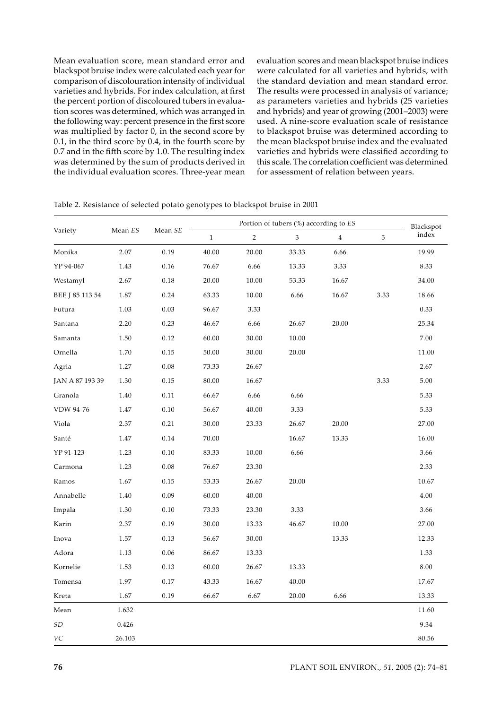Mean evaluation score, mean standard error and blackspot bruise index were calculated each year for comparison of discolouration intensity of individual varieties and hybrids. For index calculation, at first the percent portion of discoloured tubers in evaluation scores was determined, which was arranged in the following way: percent presence in the first score was multiplied by factor 0, in the second score by 0.1, in the third score by 0.4, in the fourth score by 0.7 and in the fifth score by 1.0. The resulting index was determined by the sum of products derived in the individual evaluation scores. Three-year mean evaluation scores and mean blackspot bruise indices were calculated for all varieties and hybrids, with the standard deviation and mean standard error. The results were processed in analysis of variance; as parameters varieties and hybrids (25 varieties and hybrids) and year of growing (2001–2003) were used. A nine-score evaluation scale of resistance to blackspot bruise was determined according to the mean blackspot bruise index and the evaluated varieties and hybrids were classified according to this scale. The correlation coefficient was determined for assessment of relation between years.

|                 |         |          |              | Blackspot      |       |                |      |          |
|-----------------|---------|----------|--------------|----------------|-------|----------------|------|----------|
| Variety         | Mean ES | Mean SE  | $\mathbf{1}$ | $\overline{2}$ | 3     | $\overline{4}$ | 5    | index    |
| Monika          | 2.07    | 0.19     | 40.00        | 20.00          | 33.33 | 6.66           |      | 19.99    |
| YP 94-067       | 1.43    | 0.16     | 76.67        | 6.66           | 13.33 | 3.33           |      | 8.33     |
| Westamyl        | 2.67    | 0.18     | 20.00        | 10.00          | 53.33 | 16.67          |      | 34.00    |
| BEE J 85 113 54 | 1.87    | 0.24     | 63.33        | 10.00          | 6.66  | 16.67          | 3.33 | 18.66    |
| Futura          | 1.03    | 0.03     | 96.67        | 3.33           |       |                |      | 0.33     |
| Santana         | 2.20    | 0.23     | 46.67        | 6.66           | 26.67 | 20.00          |      | 25.34    |
| Samanta         | 1.50    | 0.12     | 60.00        | 30.00          | 10.00 |                |      | 7.00     |
| Ornella         | 1.70    | 0.15     | 50.00        | 30.00          | 20.00 |                |      | 11.00    |
| Agria           | 1.27    | 0.08     | 73.33        | 26.67          |       |                |      | 2.67     |
| JAN A 87 193 39 | 1.30    | 0.15     | 80.00        | 16.67          |       |                | 3.33 | 5.00     |
| Granola         | 1.40    | 0.11     | 66.67        | 6.66           | 6.66  |                |      | 5.33     |
| VDW 94-76       | 1.47    | 0.10     | 56.67        | 40.00          | 3.33  |                |      | 5.33     |
| Viola           | 2.37    | 0.21     | 30.00        | 23.33          | 26.67 | 20.00          |      | 27.00    |
| Santé           | 1.47    | 0.14     | 70.00        |                | 16.67 | 13.33          |      | 16.00    |
| YP 91-123       | 1.23    | 0.10     | 83.33        | 10.00          | 6.66  |                |      | 3.66     |
| Carmona         | 1.23    | $0.08\,$ | 76.67        | 23.30          |       |                |      | 2.33     |
| Ramos           | 1.67    | 0.15     | 53.33        | 26.67          | 20.00 |                |      | 10.67    |
| Annabelle       | 1.40    | 0.09     | 60.00        | 40.00          |       |                |      | 4.00     |
| Impala          | 1.30    | 0.10     | 73.33        | 23.30          | 3.33  |                |      | 3.66     |
| Karin           | 2.37    | 0.19     | 30.00        | 13.33          | 46.67 | 10.00          |      | 27.00    |
| Inova           | 1.57    | 0.13     | 56.67        | 30.00          |       | 13.33          |      | 12.33    |
| Adora           | 1.13    | 0.06     | 86.67        | 13.33          |       |                |      | 1.33     |
| Kornelie        | 1.53    | 0.13     | 60.00        | 26.67          | 13.33 |                |      | $8.00\,$ |
| Tomensa         | 1.97    | 0.17     | 43.33        | 16.67          | 40.00 |                |      | 17.67    |
| Kreta           | 1.67    | 0.19     | 66.67        | 6.67           | 20.00 | 6.66           |      | 13.33    |
| Mean            | 1.632   |          |              |                |       |                |      | 11.60    |
| SD              | 0.426   |          |              |                |       |                |      | 9.34     |
| VC              | 26.103  |          |              |                |       |                |      | 80.56    |

Table 2. Resistance of selected potato genotypes to blackspot bruise in 2001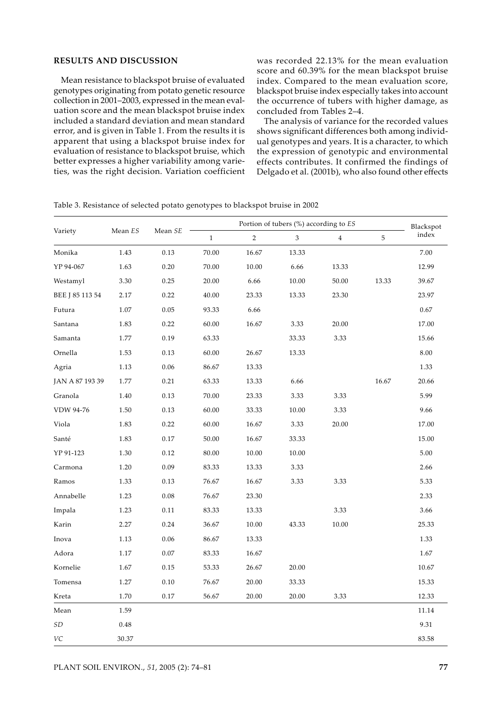# **RESULTS AND DISCUSSION**

Mean resistance to blackspot bruise of evaluated genotypes originating from potato genetic resource collection in 2001–2003, expressed in the mean evaluation score and the mean blackspot bruise index included a standard deviation and mean standard error, and is given in Table 1. From the results it is apparent that using a blackspot bruise index for evaluation of resistance to blackspot bruise, which better expresses a higher variability among varieties, was the right decision. Variation coefficient

was recorded 22.13% for the mean evaluation score and 60.39% for the mean blackspot bruise index. Compared to the mean evaluation score, blackspot bruise index especially takes into account the occurrence of tubers with higher damage, as concluded from Tables 2–4.

The analysis of variance for the recorded values shows significant differences both among individual genotypes and years. It is a character, to which the expression of genotypic and environmental effects contributes. It confirmed the findings of Delgado et al. (2001b), who also found other effects

|                 |                    |         |              | Blackspot      |       |                |       |       |
|-----------------|--------------------|---------|--------------|----------------|-------|----------------|-------|-------|
| Variety         | Mean $\mathit{ES}$ | Mean SE | $\mathbf{1}$ | $\overline{2}$ | 3     | $\overline{4}$ | 5     | index |
| Monika          | 1.43               | 0.13    | 70.00        | 16.67          | 13.33 |                |       | 7.00  |
| YP 94-067       | 1.63               | 0.20    | 70.00        | 10.00          | 6.66  | 13.33          |       | 12.99 |
| Westamyl        | 3.30               | 0.25    | 20.00        | 6.66           | 10.00 | 50.00          | 13.33 | 39.67 |
| BEE J 85 113 54 | 2.17               | 0.22    | 40.00        | 23.33          | 13.33 | 23.30          |       | 23.97 |
| Futura          | 1.07               | 0.05    | 93.33        | 6.66           |       |                |       | 0.67  |
| Santana         | 1.83               | 0.22    | 60.00        | 16.67          | 3.33  | 20.00          |       | 17.00 |
| Samanta         | 1.77               | 0.19    | 63.33        |                | 33.33 | 3.33           |       | 15.66 |
| Ornella         | 1.53               | 0.13    | 60.00        | 26.67          | 13.33 |                |       | 8.00  |
| Agria           | 1.13               | 0.06    | 86.67        | 13.33          |       |                |       | 1.33  |
| JAN A 87 193 39 | 1.77               | 0.21    | 63.33        | 13.33          | 6.66  |                | 16.67 | 20.66 |
| Granola         | 1.40               | 0.13    | 70.00        | 23.33          | 3.33  | 3.33           |       | 5.99  |
| VDW 94-76       | 1.50               | 0.13    | 60.00        | 33.33          | 10.00 | 3.33           |       | 9.66  |
| Viola           | 1.83               | 0.22    | 60.00        | 16.67          | 3.33  | 20.00          |       | 17.00 |
| Santé           | 1.83               | 0.17    | $50.00\,$    | 16.67          | 33.33 |                |       | 15.00 |
| YP 91-123       | 1.30               | 0.12    | 80.00        | 10.00          | 10.00 |                |       | 5.00  |
| Carmona         | 1.20               | 0.09    | 83.33        | 13.33          | 3.33  |                |       | 2.66  |
| Ramos           | 1.33               | 0.13    | 76.67        | 16.67          | 3.33  | 3.33           |       | 5.33  |
| Annabelle       | 1.23               | 0.08    | 76.67        | 23.30          |       |                |       | 2.33  |
| Impala          | 1.23               | 0.11    | 83.33        | 13.33          |       | 3.33           |       | 3.66  |
| Karin           | 2.27               | 0.24    | 36.67        | 10.00          | 43.33 | 10.00          |       | 25.33 |
| Inova           | 1.13               | 0.06    | 86.67        | 13.33          |       |                |       | 1.33  |
| Adora           | 1.17               | 0.07    | 83.33        | 16.67          |       |                |       | 1.67  |
| Kornelie        | 1.67               | 0.15    | 53.33        | 26.67          | 20.00 |                |       | 10.67 |
| Tomensa         | 1.27               | 0.10    | 76.67        | 20.00          | 33.33 |                |       | 15.33 |
| Kreta           | 1.70               | 0.17    | 56.67        | 20.00          | 20.00 | 3.33           |       | 12.33 |
| Mean            | 1.59               |         |              |                |       |                |       | 11.14 |
| <b>SD</b>       | 0.48               |         |              |                |       |                |       | 9.31  |
| VC              | 30.37              |         |              |                |       |                |       | 83.58 |

Table 3. Resistance of selected potato genotypes to blackspot bruise in 2002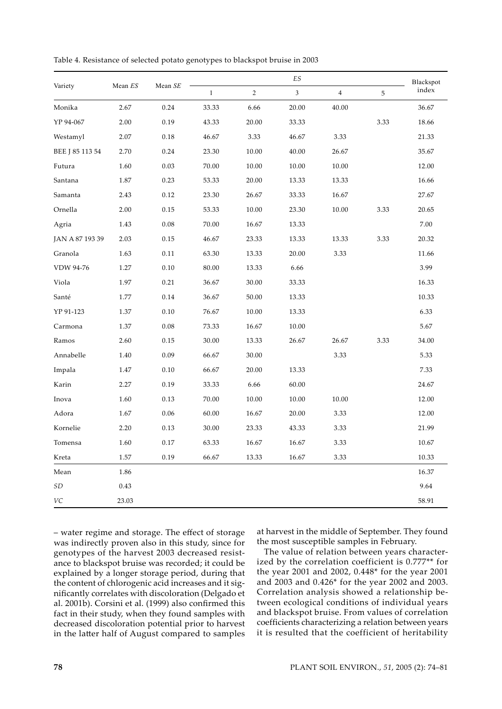|                 |         |         |              | Blackspot      |                |                |      |       |
|-----------------|---------|---------|--------------|----------------|----------------|----------------|------|-------|
| Variety         | Mean ES | Mean SE | $\mathbf{1}$ | $\overline{c}$ | $\mathfrak{Z}$ | $\overline{4}$ | 5    | index |
| Monika          | 2.67    | 0.24    | 33.33        | 6.66           | 20.00          | 40.00          |      | 36.67 |
| YP 94-067       | 2.00    | 0.19    | 43.33        | 20.00          | 33.33          |                | 3.33 | 18.66 |
| Westamyl        | 2.07    | 0.18    | 46.67        | 3.33           | 46.67          | 3.33           |      | 21.33 |
| BEE J 85 113 54 | 2.70    | 0.24    | 23.30        | 10.00          | 40.00          | 26.67          |      | 35.67 |
| Futura          | 1.60    | 0.03    | 70.00        | 10.00          | 10.00          | 10.00          |      | 12.00 |
| Santana         | 1.87    | 0.23    | 53.33        | 20.00          | 13.33          | 13.33          |      | 16.66 |
| Samanta         | 2.43    | 0.12    | 23.30        | 26.67          | 33.33          | 16.67          |      | 27.67 |
| Ornella         | 2.00    | 0.15    | 53.33        | 10.00          | 23.30          | 10.00          | 3.33 | 20.65 |
| Agria           | 1.43    | 0.08    | 70.00        | 16.67          | 13.33          |                |      | 7.00  |
| JAN A 87 193 39 | 2.03    | 0.15    | 46.67        | 23.33          | 13.33          | 13.33          | 3.33 | 20.32 |
| Granola         | 1.63    | 0.11    | 63.30        | 13.33          | 20.00          | 3.33           |      | 11.66 |
| VDW 94-76       | 1.27    | 0.10    | 80.00        | 13.33          | 6.66           |                |      | 3.99  |
| Viola           | 1.97    | 0.21    | 36.67        | 30.00          | 33.33          |                |      | 16.33 |
| Santé           | 1.77    | 0.14    | 36.67        | 50.00          | 13.33          |                |      | 10.33 |
| YP 91-123       | 1.37    | 0.10    | 76.67        | 10.00          | 13.33          |                |      | 6.33  |
| Carmona         | 1.37    | 0.08    | 73.33        | 16.67          | 10.00          |                |      | 5.67  |
| Ramos           | 2.60    | 0.15    | 30.00        | 13.33          | 26.67          | 26.67          | 3.33 | 34.00 |
| Annabelle       | 1.40    | 0.09    | 66.67        | 30.00          |                | 3.33           |      | 5.33  |
| Impala          | 1.47    | 0.10    | 66.67        | 20.00          | 13.33          |                |      | 7.33  |
| Karin           | 2.27    | 0.19    | 33.33        | 6.66           | 60.00          |                |      | 24.67 |
| Inova           | 1.60    | 0.13    | 70.00        | 10.00          | 10.00          | 10.00          |      | 12.00 |
| Adora           | 1.67    | 0.06    | 60.00        | 16.67          | 20.00          | 3.33           |      | 12.00 |
| Kornelie        | 2.20    | 0.13    | 30.00        | 23.33          | 43.33          | 3.33           |      | 21.99 |
| Tomensa         | 1.60    | 0.17    | 63.33        | 16.67          | 16.67          | 3.33           |      | 10.67 |
| Kreta           | 1.57    | 0.19    | 66.67        | 13.33          | 16.67          | 3.33           |      | 10.33 |
| Mean            | 1.86    |         |              |                |                |                |      | 16.37 |
| SD              | 0.43    |         |              |                |                |                |      | 9.64  |
| VC              | 23.03   |         |              |                |                |                |      | 58.91 |

Table 4. Resistance of selected potato genotypes to blackspot bruise in 2003

– water regime and storage. The effect of storage was indirectly proven also in this study, since for genotypes of the harvest 2003 decreased resistance to blackspot bruise was recorded; it could be explained by a longer storage period, during that the content of chlorogenic acid increases and it significantly correlates with discoloration (Delgado et al. 2001b). Corsini et al. (1999) also confirmed this fact in their study, when they found samples with decreased discoloration potential prior to harvest in the latter half of August compared to samples

at harvest in the middle of September. They found the most susceptible samples in February.

The value of relation between years characterized by the correlation coefficient is 0.777\*\* for the year 2001 and 2002, 0.448\* for the year 2001 and 2003 and 0.426\* for the year 2002 and 2003. Correlation analysis showed a relationship between ecological conditions of individual years and blackspot bruise. From values of correlation coefficients characterizing a relation between years it is resulted that the coefficient of heritability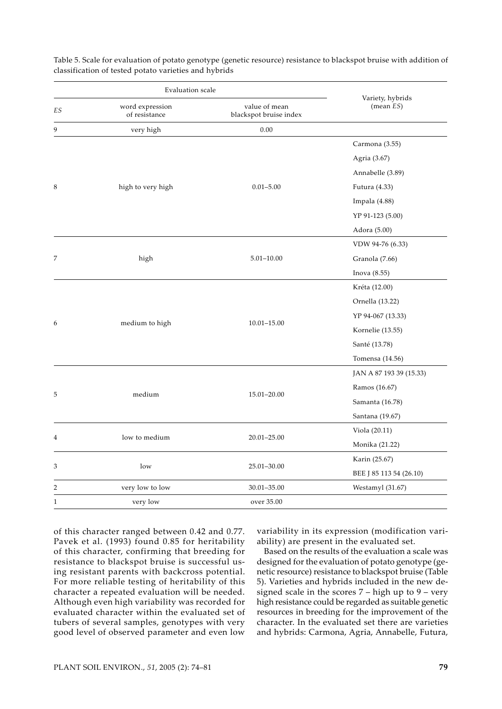|              | Evaluation scale                 |                                         |                                  |  |
|--------------|----------------------------------|-----------------------------------------|----------------------------------|--|
| ES           | word expression<br>of resistance | value of mean<br>blackspot bruise index | Variety, hybrids<br>(mean $ES$ ) |  |
| 9            | very high                        | 0.00                                    |                                  |  |
|              |                                  |                                         | Carmona (3.55)                   |  |
|              |                                  |                                         | Agria (3.67)                     |  |
|              |                                  |                                         | Annabelle (3.89)                 |  |
| 8            | high to very high                | $0.01 - 5.00$                           | Futura (4.33)                    |  |
|              |                                  |                                         | Impala (4.88)                    |  |
|              |                                  |                                         | YP 91-123 (5.00)                 |  |
|              |                                  |                                         | Adora (5.00)                     |  |
|              |                                  |                                         | VDW 94-76 (6.33)                 |  |
| 7            | high                             | $5.01 - 10.00$                          | Granola (7.66)                   |  |
|              |                                  |                                         | Inova (8.55)                     |  |
|              |                                  |                                         | Kréta (12.00)                    |  |
|              |                                  |                                         | Ornella (13.22)                  |  |
|              |                                  |                                         | YP 94-067 (13.33)                |  |
| 6            | medium to high                   | $10.01 - 15.00$                         | Kornelie (13.55)                 |  |
|              |                                  |                                         | Santé (13.78)                    |  |
|              |                                  |                                         | Tomensa (14.56)                  |  |
|              |                                  |                                         | JAN A 87 193 39 (15.33)          |  |
|              |                                  |                                         | Ramos (16.67)                    |  |
| 5            | medium                           | 15.01-20.00                             | Samanta (16.78)                  |  |
|              |                                  |                                         | Santana (19.67)                  |  |
|              |                                  |                                         | Viola (20.11)                    |  |
| 4            | low to medium                    | 20.01-25.00                             | Monika (21.22)                   |  |
|              |                                  |                                         | Karin (25.67)                    |  |
| 3            | low                              | 25.01-30.00                             | BEE J 85 113 54 (26.10)          |  |
| 2            | very low to low                  | 30.01-35.00                             | Westamyl (31.67)                 |  |
| $\mathbf{1}$ | very low                         | over 35.00                              |                                  |  |

Table 5. Scale for evaluation of potato genotype (genetic resource) resistance to blackspot bruise with addition of classification of tested potato varieties and hybrids

of this character ranged between 0.42 and 0.77. Pavek et al. (1993) found 0.85 for heritability of this character, confirming that breeding for resistance to blackspot bruise is successful using resistant parents with backcross potential. For more reliable testing of heritability of this character a repeated evaluation will be needed. Although even high variability was recorded for evaluated character within the evaluated set of tubers of several samples, genotypes with very good level of observed parameter and even low

variability in its expression (modification variability) are present in the evaluated set.

Based on the results of the evaluation a scale was designed for the evaluation of potato genotype (genetic resource) resistance to blackspot bruise (Table 5). Varieties and hybrids included in the new designed scale in the scores  $7$  – high up to  $9$  – very high resistance could be regarded as suitable genetic resources in breeding for the improvement of the character. In the evaluated set there are varieties and hybrids: Carmona, Agria, Annabelle, Futura,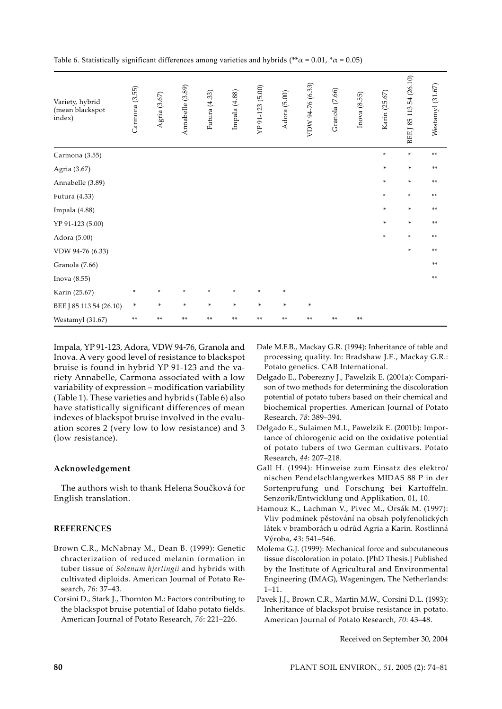| Variety, hybrid<br>(mean blackspot<br>index) | Carmona (3.55) | Agria (3.67) | Annabelle (3.89) | Futura (4.33) | Impala (4.88) | YP 91-123 (5.00) | Adora (5.00) | VDW 94-76 (6.33) | Granola (7.66) | Inova (8.55) | Karin (25.67) | BEE J 85 113 54 (26.10) | Westamyl (31.67) |
|----------------------------------------------|----------------|--------------|------------------|---------------|---------------|------------------|--------------|------------------|----------------|--------------|---------------|-------------------------|------------------|
| Carmona (3.55)                               |                |              |                  |               |               |                  |              |                  |                |              | ×.            | $\ast$                  | $**$             |
| Agria (3.67)                                 |                |              |                  |               |               |                  |              |                  |                |              | ×.            | $\ast$                  | **               |
| Annabelle (3.89)                             |                |              |                  |               |               |                  |              |                  |                |              | ×.            | $\ast$                  | **               |
| Futura (4.33)                                |                |              |                  |               |               |                  |              |                  |                |              | *             | $\ast$                  | **               |
| Impala (4.88)                                |                |              |                  |               |               |                  |              |                  |                |              | ×.            | ×.                      | **               |
| YP 91-123 (5.00)                             |                |              |                  |               |               |                  |              |                  |                |              | *             | ×.                      | **               |
| Adora (5.00)                                 |                |              |                  |               |               |                  |              |                  |                |              | *             | ×.                      | $**$             |
| VDW 94-76 (6.33)                             |                |              |                  |               |               |                  |              |                  |                |              |               | *                       | **               |
| Granola (7.66)                               |                |              |                  |               |               |                  |              |                  |                |              |               |                         | **               |
| Inova (8.55)                                 |                |              |                  |               |               |                  |              |                  |                |              |               |                         | **               |
| Karin (25.67)                                | $\ast$         | $\ast$       | *                | *             | *             | ×.               | *            |                  |                |              |               |                         |                  |
| BEE J 85 113 54 (26.10)                      | *              | $\ast$       | ÷                | $\ast$        | $\ast$        | $\ast$           | $\ast$       | $\ast$           |                |              |               |                         |                  |
| Westamyl (31.67)                             | **             | **           | **               | **            | **            | **               | **           | **               | **             | **           |               |                         |                  |

Table 6. Statistically significant differences among varieties and hybrids (\*\* $\alpha$  = 0.01, \* $\alpha$  = 0.05)

Impala, YP 91-123, Adora, VDW 94-76, Granola and Inova. A very good level of resistance to blackspot bruise is found in hybrid YP 91-123 and the variety Annabelle, Carmona associated with a low variability of expression – modification variability (Table 1). These varieties and hybrids (Table 6) also have statistically significant differences of mean indexes of blackspot bruise involved in the evaluation scores 2 (very low to low resistance) and 3 (low resistance).

### **Acknowledgement**

The authors wish to thank Helena Součková for English translation.

## **REFERENCES**

- Brown C.R., McNabnay M., Dean B. (1999): Genetic chracterization of reduced melanin formation in tuber tissue of *Solanum hjertingii* and hybrids with cultivated diploids. American Journal of Potato Research, *76*: 37–43.
- Corsini D., Stark J., Thornton M.: Factors contributing to the blackspot bruise potential of Idaho potato fields. American Journal of Potato Research, *76*: 221–226.
- Dale M.F.B., Mackay G.R. (1994): Inheritance of table and processing quality. In: Bradshaw J.E., Mackay G.R.: Potato genetics. CAB International.
- Delgado E., Poberezny J., Pawelzik E. (2001a): Comparison of two methods for determining the discoloration potential of potato tubers based on their chemical and biochemical properties. American Journal of Potato Research, *78*: 389–394.
- Delgado E., Sulaimen M.I., Pawelzik E. (2001b): Importance of chlorogenic acid on the oxidative potential of potato tubers of two German cultivars. Potato Research, *44*: 207–218.
- Gall H. (1994): Hinweise zum Einsatz des elektro/ nischen Pendelschlangwerkes MIDAS 88 P in der Sortenprufung und Forschung bei Kartoffeln. Senzorik/Entwicklung und Applikation, 01, 10.
- Hamouz K., Lachman V., Pivec M., Orsák M. (1997): Vliv podmínek pěstování na obsah polyfenolických látek v bramborách u odrůd Agria a Karin. Rostlinná Výroba, *43*: 541–546.
- Molema G.J. (1999): Mechanical force and subcutaneous tissue discoloration in potato. [PhD Thesis.] Published by the Institute of Agricultural and Environmental Engineering (IMAG), Wageningen, The Netherlands:  $1 - 11$ .
- Pavek J.J., Brown C.R., Martin M.W., Corsini D.L. (1993): Inheritance of blackspot bruise resistance in potato. American Journal of Potato Research, *70*: 43–48.

Received on September 30, 2004